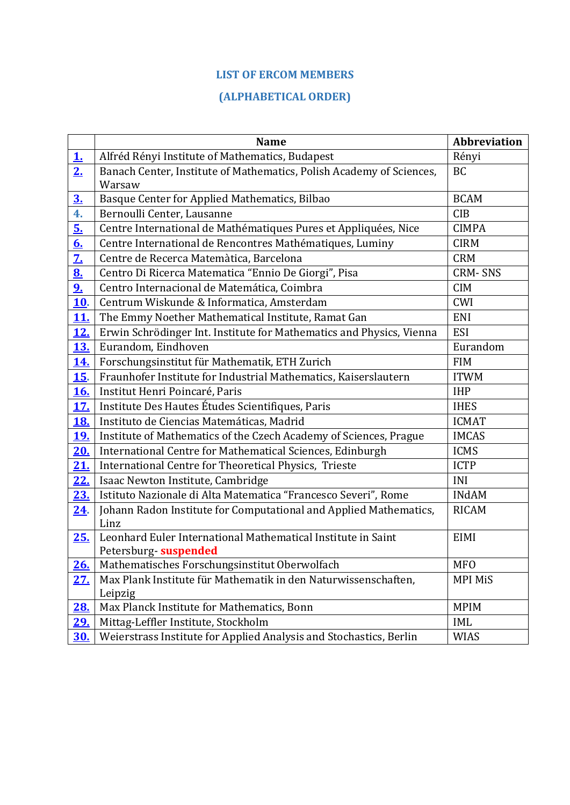# **LIST OF ERCOM MEMBERS**

# **(ALPHABETICAL ORDER)**

<span id="page-0-0"></span>

|                   | <b>Name</b>                                                          | <b>Abbreviation</b> |
|-------------------|----------------------------------------------------------------------|---------------------|
| 1.                | Alfréd Rényi Institute of Mathematics, Budapest                      | Rényi               |
| 2 <sub>1</sub>    | Banach Center, Institute of Mathematics, Polish Academy of Sciences, | <b>BC</b>           |
|                   | Warsaw                                                               |                     |
| 3 <sub>1</sub>    | Basque Center for Applied Mathematics, Bilbao                        | <b>BCAM</b>         |
| 4.                | Bernoulli Center, Lausanne                                           | <b>CIB</b>          |
| 5.                | Centre International de Mathématiques Pures et Appliquées, Nice      | <b>CIMPA</b>        |
| 6.                | Centre International de Rencontres Mathématiques, Luminy             | <b>CIRM</b>         |
| $\mathbf{Z}$      | Centre de Recerca Matemàtica, Barcelona                              | <b>CRM</b>          |
| $\underline{8}$ . | Centro Di Ricerca Matematica "Ennio De Giorgi", Pisa                 | <b>CRM-SNS</b>      |
| 9 <sub>1</sub>    | Centro Internacional de Matemática, Coimbra                          | <b>CIM</b>          |
| <u>10</u> .       | Centrum Wiskunde & Informatica, Amsterdam                            | CWI                 |
| <u>11.</u>        | The Emmy Noether Mathematical Institute, Ramat Gan                   | ENI                 |
| <u>12.</u>        | Erwin Schrödinger Int. Institute for Mathematics and Physics, Vienna | <b>ESI</b>          |
| <u>13.</u>        | Eurandom, Eindhoven                                                  | Eurandom            |
| <u>14.</u>        | Forschungsinstitut für Mathematik, ETH Zurich                        | <b>FIM</b>          |
| <b>15.</b>        | Fraunhofer Institute for Industrial Mathematics, Kaiserslautern      | <b>ITWM</b>         |
| <u>16.</u>        | Institut Henri Poincaré, Paris                                       | <b>IHP</b>          |
| <u>17.</u>        | Institute Des Hautes Études Scientifiques, Paris                     | <b>IHES</b>         |
| <u>18.</u>        | Instituto de Ciencias Matemáticas, Madrid                            | <b>ICMAT</b>        |
| <u>19.</u>        | Institute of Mathematics of the Czech Academy of Sciences, Prague    | <b>IMCAS</b>        |
| 20.               | International Centre for Mathematical Sciences, Edinburgh            | <b>ICMS</b>         |
| <u>21.</u>        | International Centre for Theoretical Physics, Trieste                | <b>ICTP</b>         |
| <u>22.</u>        | Isaac Newton Institute, Cambridge                                    | INI                 |
| <u>23.</u>        | Istituto Nazionale di Alta Matematica "Francesco Severi", Rome       | <b>INdAM</b>        |
| <u>24</u> .       | Johann Radon Institute for Computational and Applied Mathematics,    | <b>RICAM</b>        |
|                   | Linz                                                                 |                     |
| 25.               | Leonhard Euler International Mathematical Institute in Saint         | <b>EIMI</b>         |
|                   | Petersburg- suspended                                                |                     |
| <u>26.</u>        | Mathematisches Forschungsinstitut Oberwolfach                        | <b>MFO</b>          |
| <u>27.</u>        | Max Plank Institute für Mathematik in den Naturwissenschaften,       | <b>MPI MiS</b>      |
|                   | Leipzig                                                              |                     |
| <u>28.</u>        | Max Planck Institute for Mathematics, Bonn                           | <b>MPIM</b>         |
| <u>29.</u>        | Mittag-Leffler Institute, Stockholm                                  | IML                 |
| <u>30.</u>        | Weierstrass Institute for Applied Analysis and Stochastics, Berlin   | <b>WIAS</b>         |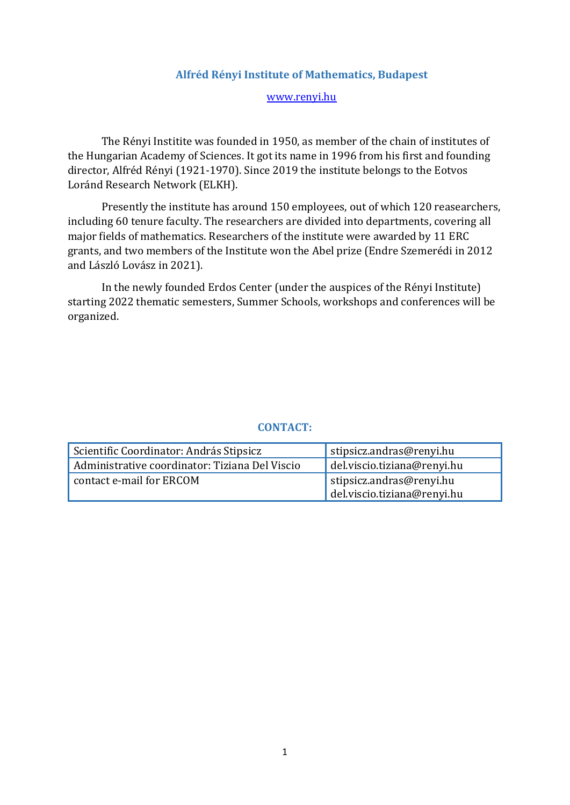### **Alfréd Rényi Institute of Mathematics, Budapest**

#### [www.renyi.hu](http://www.renyi.hu/)

The Rényi Institite was founded in 1950, as member of the chain of institutes of the Hungarian Academy of Sciences. It got its name in 1996 from his first and founding director, Alfréd Rényi (1921-1970). Since 2019 the institute belongs to the Eotvos Loránd Research Network (ELKH).

Presently the institute has around 150 employees, out of which 120 reasearchers, including 60 tenure faculty. The researchers are divided into departments, covering all major fields of mathematics. Researchers of the institute were awarded by 11 ERC grants, and two members of the Institute won the Abel prize (Endre Szemerédi in 2012 and László Lovász in 2021).

In the newly founded Erdos Center (under the auspices of the Rényi Institute) starting 2022 thematic semesters, Summer Schools, workshops and conferences will be organized.

<span id="page-1-0"></span>

| Scientific Coordinator: András Stipsicz        | stipsicz.andras@renyi.hu                                |
|------------------------------------------------|---------------------------------------------------------|
| Administrative coordinator: Tiziana Del Viscio | del.viscio.tiziana@renyi.hu                             |
| contact e-mail for ERCOM                       | stipsicz.andras@renyi.hu<br>del.viscio.tiziana@renyi.hu |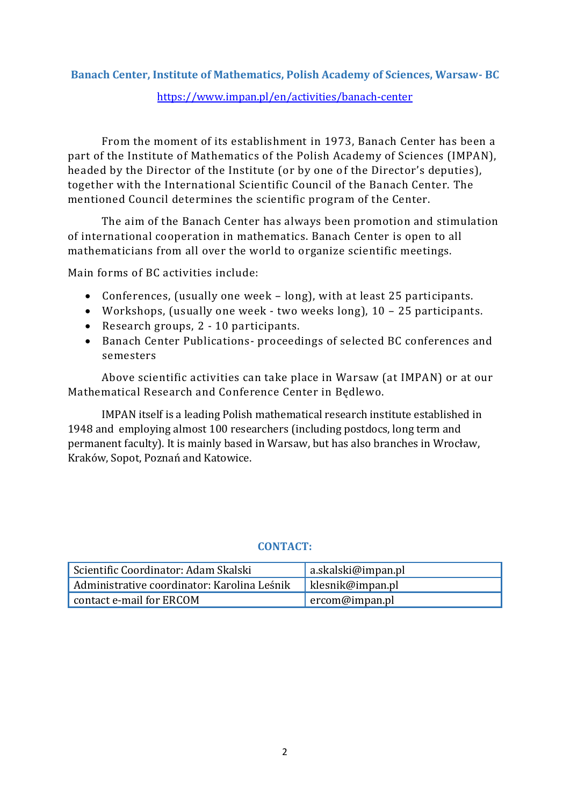# **Banach Center, Institute of Mathematics, Polish Academy of Sciences, Warsaw- BC** <https://www.impan.pl/en/activities/banach-center>

From the moment of its establishment in 1973, Banach Center has been a part of the Institute of Mathematics of the Polish Academy of Sciences (IMPAN), headed by the Director of the Institute (or by one of the Director's deputies), together with the International Scientific Council of the Banach Center. The mentioned Council determines the scientific program of the Center.

The aim of the Banach Center has always been promotion and stimulation of international cooperation in mathematics. Banach Center is open to all mathematicians from all over the world to organize scientific meetings.

Main forms of BC activities include:

- Conferences, (usually one week long), with at least 25 participants.
- Workshops, (usually one week two weeks long), 10 25 participants.
- Research groups, 2 10 participants.
- Banach Center Publications- proceedings of selected BC conferences and semesters

Above scientific activities can take place in Warsaw (at IMPAN) or at our Mathematical Research and Conference Center in Będlewo.

IMPAN itself is a leading Polish mathematical research institute established in 1948 and employing almost 100 researchers (including postdocs, long term and permanent faculty). It is mainly based in Warsaw, but has also branches in Wrocław, Kraków, Sopot, Poznań and Katowice.

<span id="page-2-0"></span>

| Scientific Coordinator: Adam Skalski        | a.skalski@impan.pl |
|---------------------------------------------|--------------------|
| Administrative coordinator: Karolina Leśnik | klesnik@impan.pl   |
| contact e-mail for ERCOM                    | ercom@impan.pl     |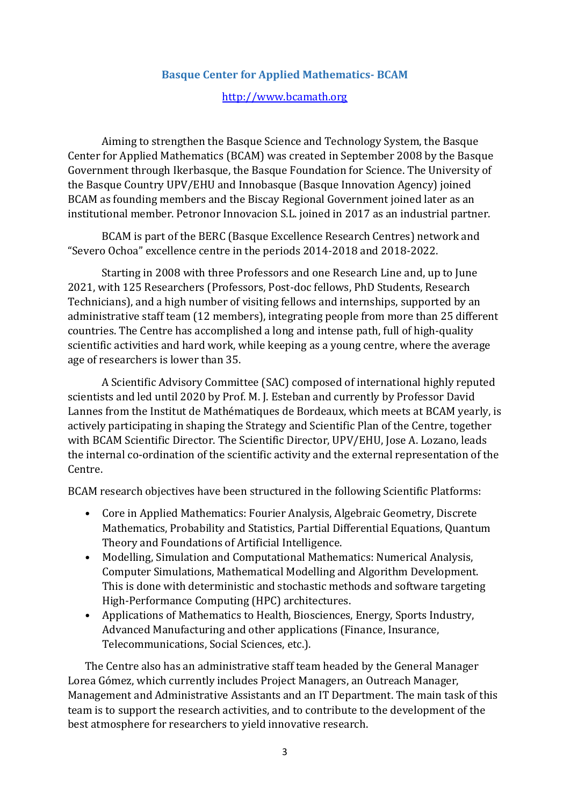### **Basque Center for Applied Mathematics- BCAM**

#### [http://www.bcamath.org](http://www.bcamath.org/)

Aiming to strengthen the Basque Science and Technology System, the Basque Center for Applied Mathematics (BCAM) was created in September 2008 by the Basque Government through Ikerbasque, the Basque Foundation for Science. The University of the Basque Country UPV/EHU and Innobasque (Basque Innovation Agency) joined BCAM as founding members and the Biscay Regional Government joined later as an institutional member. Petronor Innovacion S.L. joined in 2017 as an industrial partner.

BCAM is part of the BERC (Basque Excellence Research Centres) network and "Severo Ochoa" excellence centre in the periods 2014-2018 and 2018-2022.

Starting in 2008 with three Professors and one Research Line and, up to June 2021, with 125 Researchers (Professors, Post-doc fellows, PhD Students, Research Technicians), and a high number of visiting fellows and internships, supported by an administrative staff team (12 members), integrating people from more than 25 different countries. The Centre has accomplished a long and intense path, full of high-quality scientific activities and hard work, while keeping as a young centre, where the average age of researchers is lower than 35.

A Scientific Advisory Committee (SAC) composed of international highly reputed scientists and led until 2020 by Prof. M. J. Esteban and currently by Professor David Lannes from the Institut de Mathématiques de Bordeaux, which meets at BCAM yearly, is actively participating in shaping the Strategy and Scientific Plan of the Centre, together with BCAM Scientific Director. The Scientific Director, UPV/EHU, Jose A. Lozano, leads the internal co-ordination of the scientific activity and the external representation of the Centre.

BCAM research objectives have been structured in the following Scientific Platforms:

- Core in Applied Mathematics: Fourier Analysis, Algebraic Geometry, Discrete Mathematics, Probability and Statistics, Partial Differential Equations, Quantum Theory and Foundations of Artificial Intelligence.
- Modelling, Simulation and Computational Mathematics: Numerical Analysis, Computer Simulations, Mathematical Modelling and Algorithm Development. This is done with deterministic and stochastic methods and software targeting High-Performance Computing (HPC) architectures.
- Applications of Mathematics to Health, Biosciences, Energy, Sports Industry, Advanced Manufacturing and other applications (Finance, Insurance, Telecommunications, Social Sciences, etc.).

The Centre also has an administrative staff team headed by the General Manager Lorea Gómez, which currently includes Project Managers, an Outreach Manager, Management and Administrative Assistants and an IT Department. The main task of this team is to support the research activities, and to contribute to the development of the best atmosphere for researchers to yield innovative research.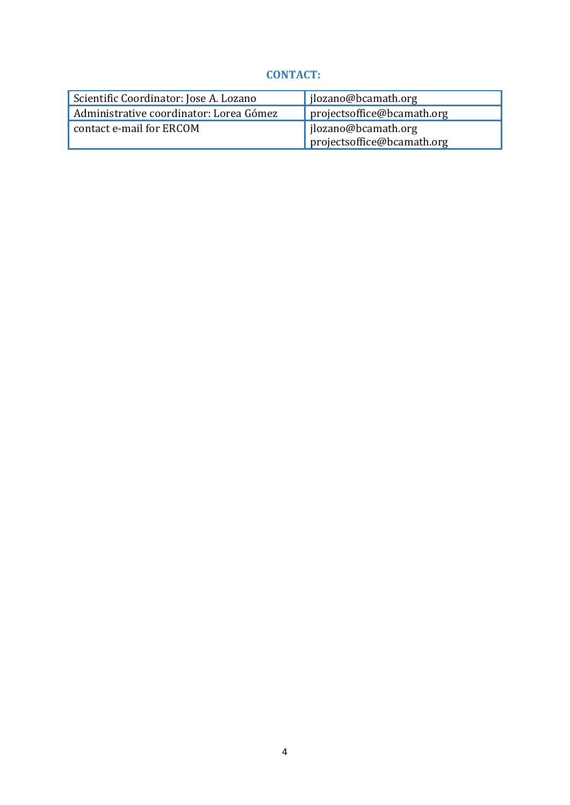<span id="page-4-0"></span>

| Scientific Coordinator: Jose A. Lozano  | jlozano@bcamath.org        |
|-----------------------------------------|----------------------------|
| Administrative coordinator: Lorea Gómez | projectsoffice@bcamath.org |
| contact e-mail for ERCOM                | jlozano@bcamath.org        |
|                                         | projectsoffice@bcamath.org |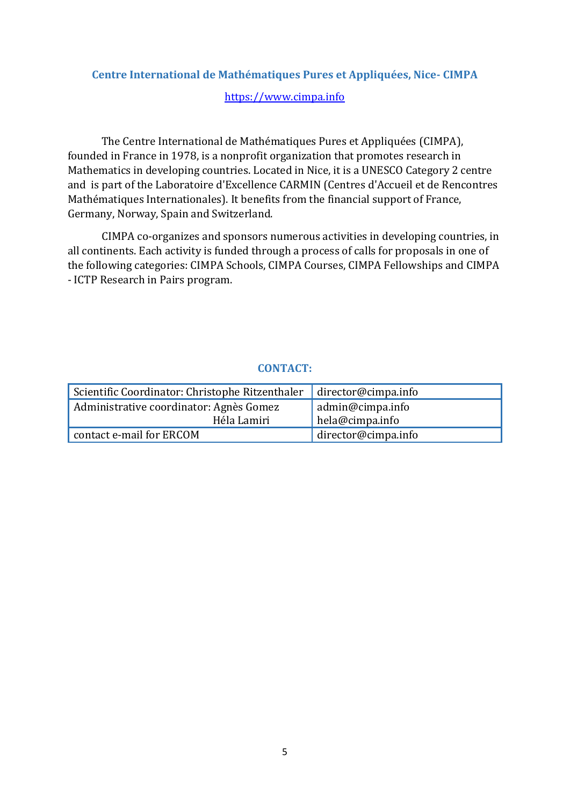# **Centre International de Mathématiques Pures et Appliquées, Nice- CIMPA**

### [https://www.cimpa.info](https://www.cimpa.info/)

The Centre International de Mathématiques Pures et Appliquées (CIMPA), founded in France in 1978, is a nonprofit organization that promotes research in Mathematics in developing countries. Located in Nice, it is a UNESCO Category 2 centre and is part of the Laboratoire d'Excellence CARMIN (Centres d'Accueil et de Rencontres Mathématiques Internationales). It benefits from the financial support of France, Germany, Norway, Spain and Switzerland.

CIMPA co-organizes and sponsors numerous activities in developing countries, in all continents. Each activity is funded through a process of calls for proposals in one of the following categories: CIMPA Schools, CIMPA Courses, CIMPA Fellowships and CIMPA - ICTP Research in Pairs program.

<span id="page-5-0"></span>

| Scientific Coordinator: Christophe Ritzenthaler | director@cimpa.info |
|-------------------------------------------------|---------------------|
| Administrative coordinator: Agnès Gomez         | admin@cimpa.info    |
| Héla Lamiri                                     | hela@cimpa.info     |
| contact e-mail for ERCOM                        | director@cimpa.info |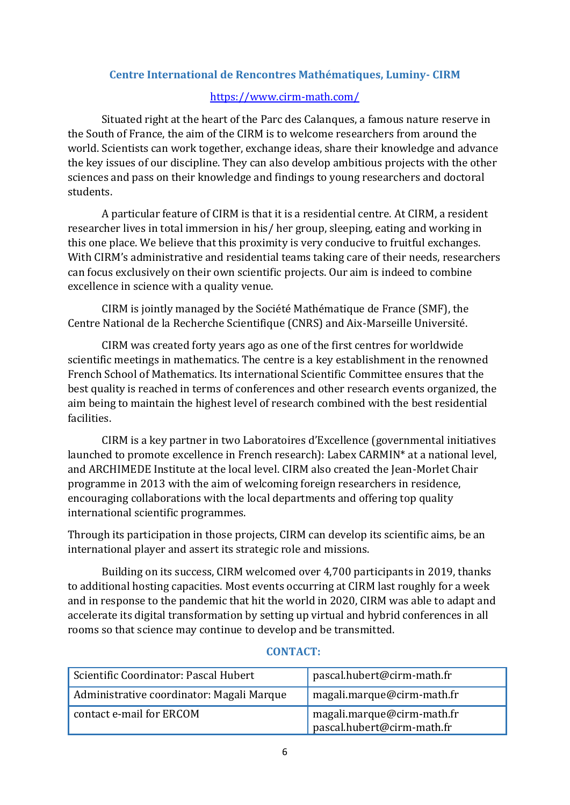# **Centre International de Rencontres Mathématiques, Luminy- CIRM**

## <https://www.cirm-math.com/>

Situated right at the heart of the Parc des Calanques, a famous nature reserve in the South of France, the aim of the CIRM is to welcome researchers from around the world. Scientists can work together, exchange ideas, share their knowledge and advance the key issues of our discipline. They can also develop ambitious projects with the other sciences and pass on their knowledge and findings to young researchers and doctoral students.

A particular feature of CIRM is that it is a residential centre. At CIRM, a resident researcher lives in total immersion in his/ her group, sleeping, eating and working in this one place. We believe that this proximity is very conducive to fruitful exchanges. With CIRM's administrative and residential teams taking care of their needs, researchers can focus exclusively on their own scientific projects. Our aim is indeed to combine excellence in science with a quality venue.

CIRM is jointly managed by the Société Mathématique de France (SMF), the Centre National de la Recherche Scientifique (CNRS) and Aix-Marseille Université.

CIRM was created forty years ago as one of the first centres for worldwide scientific meetings in mathematics. The centre is a key establishment in the renowned French School of Mathematics. Its international Scientific Committee ensures that the best quality is reached in terms of conferences and other research events organized, the aim being to maintain the highest level of research combined with the best residential facilities.

CIRM is a key partner in two Laboratoires d'Excellence (governmental initiatives launched to promote excellence in French research): Labex CARMIN\* at a national level, and ARCHIMEDE Institute at the local level. CIRM also created the Jean-Morlet Chair programme in 2013 with the aim of welcoming foreign researchers in residence, encouraging collaborations with the local departments and offering top quality international scientific programmes.

Through its participation in those projects, CIRM can develop its scientific aims, be an international player and assert its strategic role and missions.

Building on its success, CIRM welcomed over 4,700 participants in 2019, thanks to additional hosting capacities. Most events occurring at CIRM last roughly for a week and in response to the pandemic that hit the world in 2020, CIRM was able to adapt and accelerate its digital transformation by setting up virtual and hybrid conferences in all rooms so that science may continue to develop and be transmitted.

| Scientific Coordinator: Pascal Hubert     | pascal.hubert@cirm-math.fr                               |
|-------------------------------------------|----------------------------------------------------------|
| Administrative coordinator: Magali Marque | magali.marque@cirm-math.fr                               |
| contact e-mail for ERCOM                  | magali.marque@cirm-math.fr<br>pascal.hubert@cirm-math.fr |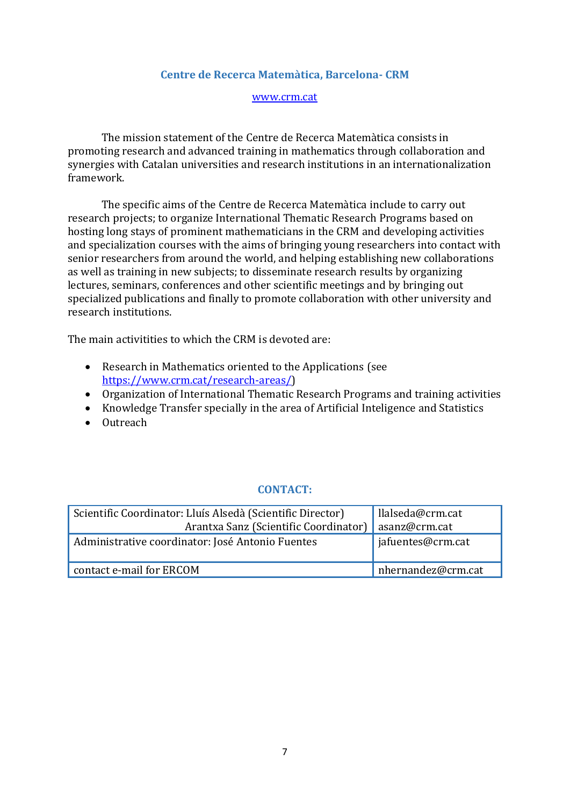### **Centre de Recerca Matemàtica, Barcelona- CRM**

#### [www.crm.cat](http://www.crm.cat/)

<span id="page-7-0"></span>The mission statement of the Centre de Recerca Matemàtica consists in promoting research and advanced training in mathematics through collaboration and synergies with Catalan universities and research institutions in an internationalization framework.

The specific aims of the Centre de Recerca Matemàtica include to carry out research projects; to organize International Thematic Research Programs based on hosting long stays of prominent mathematicians in the CRM and developing activities and specialization courses with the aims of bringing young researchers into contact with senior researchers from around the world, and helping establishing new collaborations as well as training in new subjects; to disseminate research results by organizing lectures, seminars, conferences and other scientific meetings and by bringing out specialized publications and finally to promote collaboration with other university and research institutions.

The main activitities to which the CRM is devoted are:

- Research in Mathematics oriented to the Applications (see [https://www.crm.cat/research-areas/\)](https://www.crm.cat/research-areas/)
- Organization of International Thematic Research Programs and training activities
- Knowledge Transfer specially in the area of Artificial Inteligence and Statistics
- Outreach

<span id="page-7-1"></span>

| Scientific Coordinator: Lluís Alsedà (Scientific Director)<br>Arantxa Sanz (Scientific Coordinator) | llalseda@crm.cat<br>'asanz@crm.cat |
|-----------------------------------------------------------------------------------------------------|------------------------------------|
| Administrative coordinator: José Antonio Fuentes                                                    | jafuentes@crm.cat                  |
| contact e-mail for ERCOM                                                                            | nhernandez@crm.cat                 |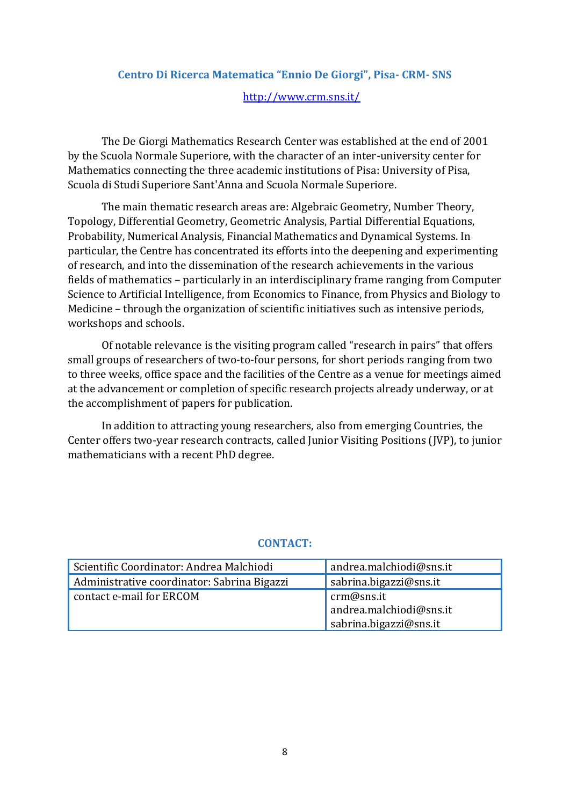# **Centro Di Ricerca Matematica "Ennio De Giorgi", Pisa- CRM- SNS** <http://www.crm.sns.it/>

The De Giorgi Mathematics Research Center was established at the end of 2001 by the Scuola Normale Superiore, with the character of an inter-university center for Mathematics connecting the three academic institutions of Pisa: University of Pisa, Scuola di Studi Superiore Sant'Anna and Scuola Normale Superiore.

The main thematic research areas are: Algebraic Geometry, Number Theory, Topology, Differential Geometry, Geometric Analysis, Partial Differential Equations, Probability, Numerical Analysis, Financial Mathematics and Dynamical Systems. In particular, the Centre has concentrated its efforts into the deepening and experimenting of research, and into the dissemination of the research achievements in the various fields of mathematics – particularly in an interdisciplinary frame ranging from Computer Science to Artificial Intelligence, from Economics to Finance, from Physics and Biology to Medicine – through the organization of scientific initiatives such as intensive periods, workshops and schools.

Of notable relevance is the visiting program called "research in pairs" that offers small groups of researchers of two-to-four persons, for short periods ranging from two to three weeks, office space and the facilities of the Centre as a venue for meetings aimed at the advancement or completion of specific research projects already underway, or at the accomplishment of papers for publication.

In addition to attracting young researchers, also from emerging Countries, the Center offers two-year research contracts, called Junior Visiting Positions (JVP), to junior mathematicians with a recent PhD degree.

<span id="page-8-0"></span>

| Scientific Coordinator: Andrea Malchiodi    | andrea.malchiodi@sns.it |
|---------------------------------------------|-------------------------|
| Administrative coordinator: Sabrina Bigazzi | sabrina.bigazzi@sns.it  |
| contact e-mail for ERCOM                    | crm@sns.it              |
|                                             | andrea.malchiodi@sns.it |
|                                             | sabrina.bigazzi@sns.it  |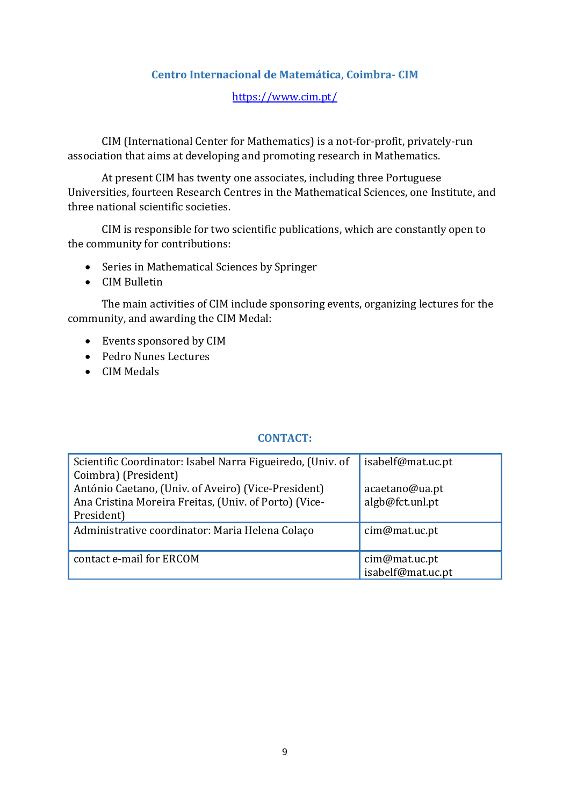# **Centro Internacional de Matemática, Coimbra- CIM**

# <https://www.cim.pt/>

CIM (International Center for Mathematics) is a not-for-profit, privately-run association that aims at developing and promoting research in Mathematics.

At present CIM has twenty one associates, including three Portuguese Universities, fourteen Research Centres in the Mathematical Sciences, one Institute, and three national scientific societies.

CIM is responsible for two scientific publications, which are constantly open to the community for contributions:

- Series in Mathematical Sciences by Springer
- CIM Bulletin

The main activities of CIM include sponsoring events, organizing lectures for the community, and awarding the CIM Medal:

- Events sponsored by CIM
- Pedro Nunes Lectures
- CIM Medals

| Scientific Coordinator: Isabel Narra Figueiredo, (Univ. of | isabelf@mat.uc.pt                  |
|------------------------------------------------------------|------------------------------------|
| Coimbra) (President)                                       |                                    |
| António Caetano, (Univ. of Aveiro) (Vice-President)        | acaetano@ua.pt                     |
| Ana Cristina Moreira Freitas, (Univ. of Porto) (Vice-      | algb@fct.unl.pt                    |
| President)                                                 |                                    |
| Administrative coordinator: Maria Helena Colaço            | cim@mat.uc.pt                      |
| contact e-mail for ERCOM                                   | cim@mat.uc.pt<br>isabelf@mat.uc.pt |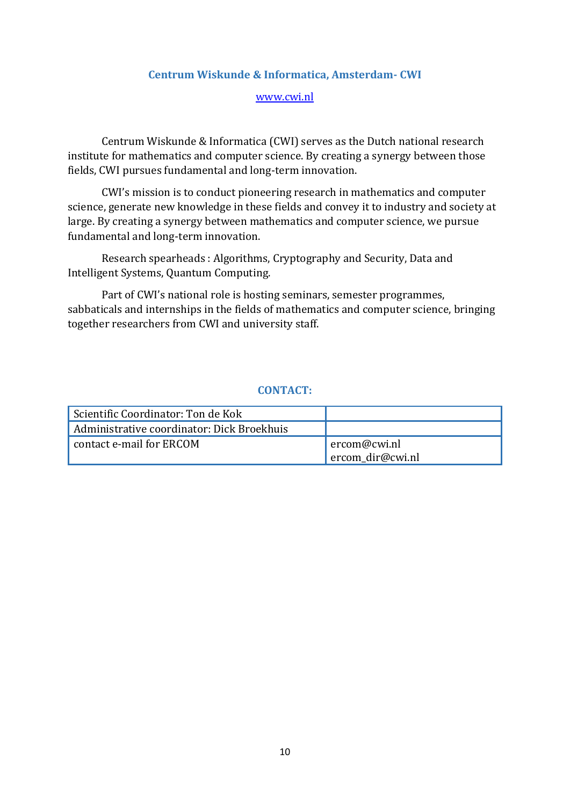#### **Centrum Wiskunde & Informatica, Amsterdam- CWI**

#### [www.cwi.nl](http://www.cwi.nl/)

<span id="page-10-0"></span>Centrum Wiskunde & Informatica (CWI) serves as the Dutch national research institute for mathematics and computer science. By creating a synergy between those fields, CWI pursues fundamental and long-term innovation.

CWI's mission is to conduct pioneering research in mathematics and computer science, generate new knowledge in these fields and convey it to industry and society at large. By creating a synergy between mathematics and computer science, we pursue fundamental and long-term innovation.

Research spearheads : Algorithms, Cryptography and Security, Data and Intelligent Systems, Quantum Computing.

Part of CWI's national role is hosting seminars, semester programmes, sabbaticals and internships in the fields of mathematics and computer science, bringing together researchers from CWI and university staff.

<span id="page-10-1"></span>

| Scientific Coordinator: Ton de Kok         |                                  |
|--------------------------------------------|----------------------------------|
| Administrative coordinator: Dick Broekhuis |                                  |
| contact e-mail for ERCOM                   | ercom@cwi.nl<br>ercom dir@cwi.nl |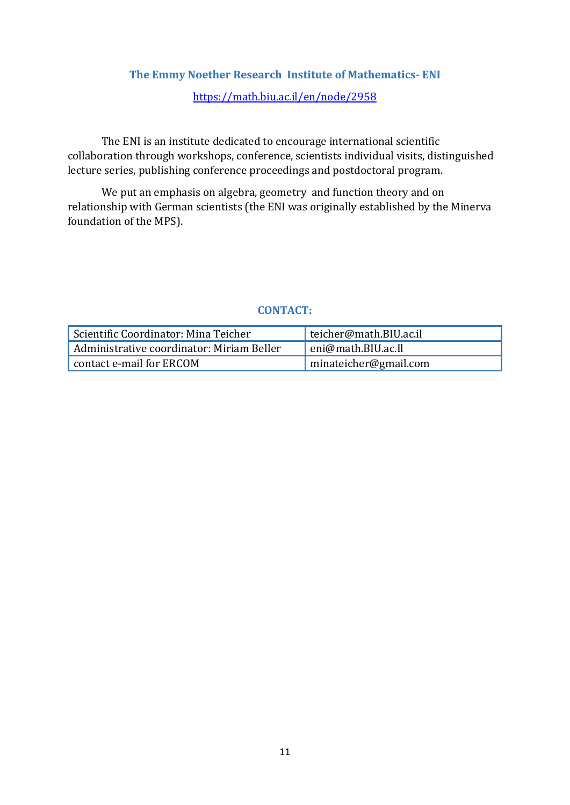# **The Emmy Noether Research Institute of Mathematics- ENI**

# <https://math.biu.ac.il/en/node/2958>

The ENI is an institute dedicated to encourage international scientific collaboration through workshops, conference, scientists individual visits, distinguished lecture series, publishing conference proceedings and postdoctoral program.

We put an emphasis on algebra, geometry and function theory and on relationship with German scientists (the ENI was originally established by the Minerva foundation of the MPS).

<span id="page-11-0"></span>

| Scientific Coordinator: Mina Teicher      | teicher@math.BIU.ac.il ± |
|-------------------------------------------|--------------------------|
| Administrative coordinator: Miriam Beller | eni@math.BIU.ac.Il       |
| contact e-mail for ERCOM                  | minateicher@gmail.com    |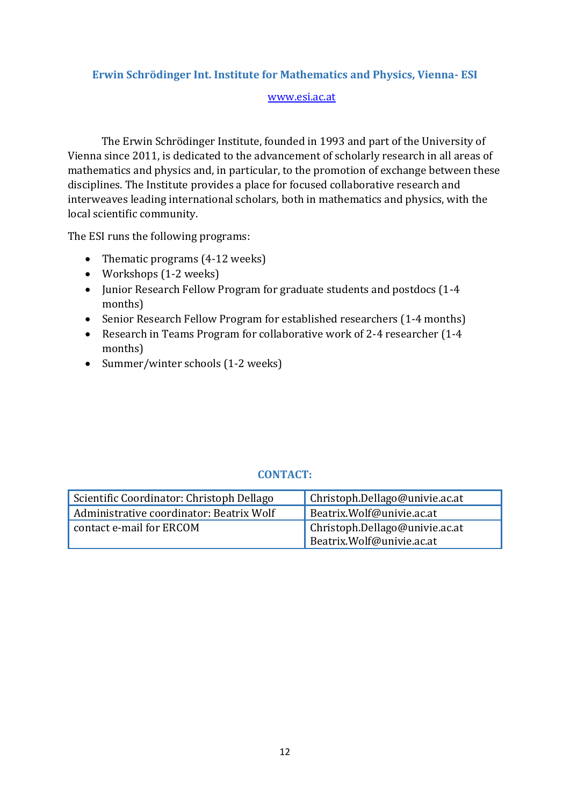# **Erwin Schrödinger Int. Institute for Mathematics and Physics, Vienna- ESI**

#### [www.esi.ac.at](http://www.esi.ac.at/)

The Erwin Schrödinger Institute, founded in 1993 and part of the University of Vienna since 2011, is dedicated to the advancement of scholarly research in all areas of mathematics and physics and, in particular, to the promotion of exchange between these disciplines. The Institute provides a place for focused collaborative research and interweaves leading international scholars, both in mathematics and physics, with the local scientific community.

The ESI runs the following programs:

- Thematic programs (4-12 weeks)
- Workshops (1-2 weeks)
- Junior Research Fellow Program for graduate students and postdocs (1-4 months)
- Senior Research Fellow Program for established researchers (1-4 months)
- Research in Teams Program for collaborative work of 2-4 researcher (1-4 months)
- Summer/winter schools (1-2 weeks)

<span id="page-12-0"></span>

| Scientific Coordinator: Christoph Dellago | $\int$ Christoph.Dellago@univie.ac.at                       |
|-------------------------------------------|-------------------------------------------------------------|
| Administrative coordinator: Beatrix Wolf  | Beatrix.Wolf@univie.ac.at                                   |
| contact e-mail for ERCOM                  | Christoph.Dellago@univie.ac.at<br>Beatrix.Wolf@univie.ac.at |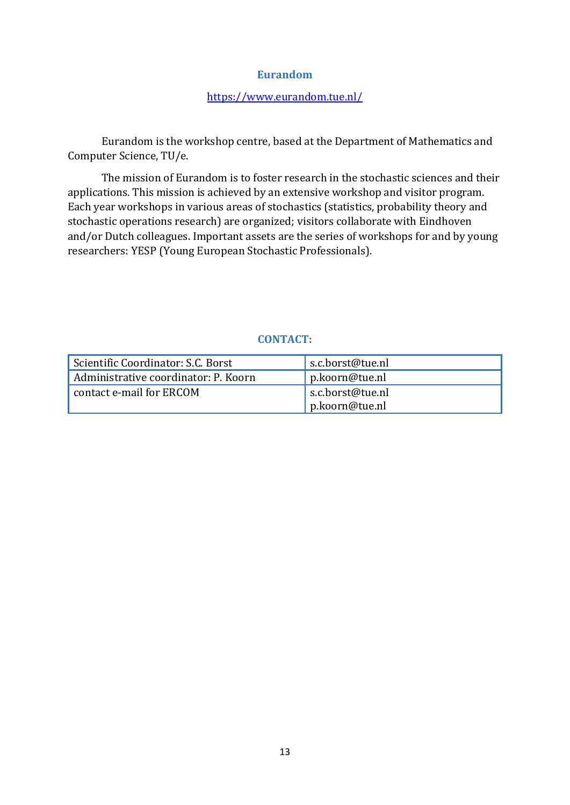#### **Eurandom**

# <https://www.eurandom.tue.nl/>

Eurandom is the workshop centre, based at the Department of Mathematics and Computer Science, TU/e.

The mission of Eurandom is to foster research in the stochastic sciences and their applications. This mission is achieved by an extensive workshop and visitor program. Each year workshops in various areas of stochastics (statistics, probability theory and stochastic operations research) are organized; visitors collaborate with Eindhoven and/or Dutch colleagues. Important assets are the series of workshops for and by young researchers: YESP (Young European Stochastic Professionals).

| Scientific Coordinator: S.C. Borst   | s.c.borst@tue.nl |
|--------------------------------------|------------------|
| Administrative coordinator: P. Koorn | p.koorn@tue.nl   |
| contact e-mail for ERCOM             | s.c.borst@tue.nl |
|                                      | p.koorn@tue.nl   |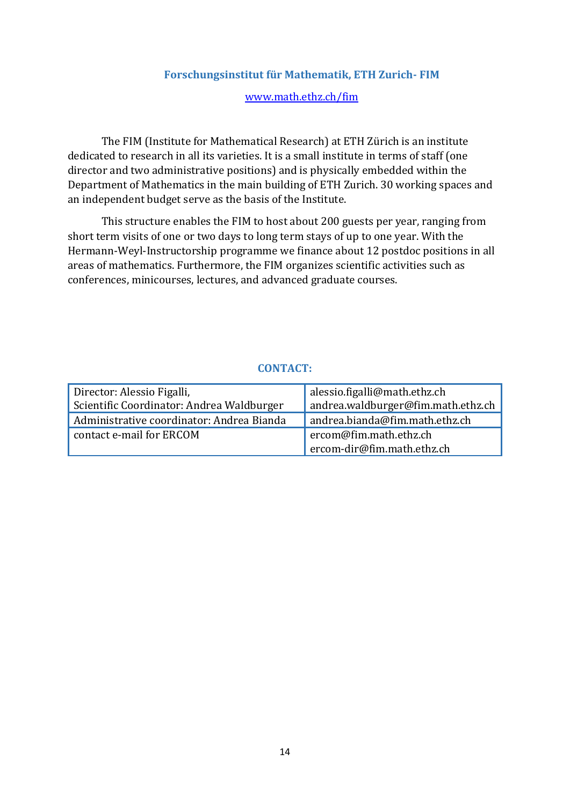## **Forschungsinstitut für Mathematik, ETH Zurich- FIM**

#### [www.math.ethz.ch/fim](http://www.math.ethz.ch/fim)

<span id="page-14-0"></span>The FIM (Institute for Mathematical Research) at ETH Zürich is an institute dedicated to research in all its varieties. It is a small institute in terms of staff (one director and two administrative positions) and is physically embedded within the Department of Mathematics in the main building of ETH Zurich. 30 working spaces and an independent budget serve as the basis of the Institute.

This structure enables the FIM to host about 200 guests per year, ranging from short term visits of one or two days to long term stays of up to one year. With the Hermann-Weyl-Instructorship programme we finance about 12 postdoc positions in all areas of mathematics. Furthermore, the FIM organizes scientific activities such as conferences, minicourses, lectures, and advanced graduate courses.

| Director: Alessio Figalli,                | alessio.figalli@math.ethz.ch       |
|-------------------------------------------|------------------------------------|
| Scientific Coordinator: Andrea Waldburger | andrea.waldburger@fim.math.ethz.ch |
| Administrative coordinator: Andrea Bianda | andrea.bianda@fim.math.ethz.ch     |
| contact e-mail for ERCOM                  | ercom@fim.math.ethz.ch             |
|                                           | ercom-dir@fim.math.ethz.ch         |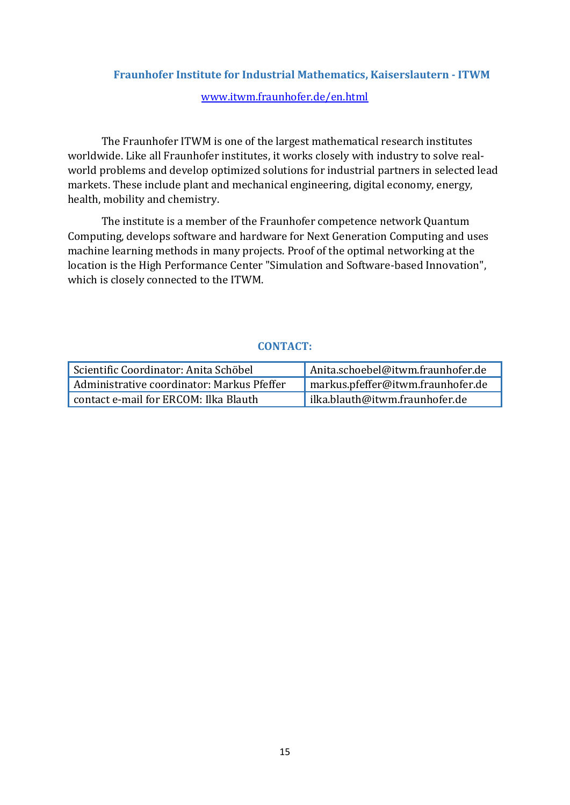# <span id="page-15-0"></span>**Fraunhofer Institute for Industrial Mathematics, Kaiserslautern - ITWM** [www.itwm.fraunhofer.de/en.html](http://www.itwm.fraunhofer.de/en.html)

The Fraunhofer ITWM is one of the largest mathematical research institutes worldwide. Like all Fraunhofer institutes, it works closely with industry to solve realworld problems and develop optimized solutions for industrial partners in selected lead markets. These include plant and mechanical engineering, digital economy, energy, health, mobility and chemistry.

The institute is a member of the Fraunhofer competence network Quantum Computing, develops software and hardware for Next Generation Computing and uses machine learning methods in many projects. Proof of the optimal networking at the location is the High Performance Center "Simulation and Software-based Innovation", which is closely connected to the ITWM.

<span id="page-15-1"></span>

| Scientific Coordinator: Anita Schöbel      | Anita.schoebel@itwm.fraunhofer.de |
|--------------------------------------------|-----------------------------------|
| Administrative coordinator: Markus Pfeffer | markus.pfeffer@itwm.fraunhofer.de |
| contact e-mail for ERCOM: Ilka Blauth      | ilka.blauth@itwm.fraunhofer.de    |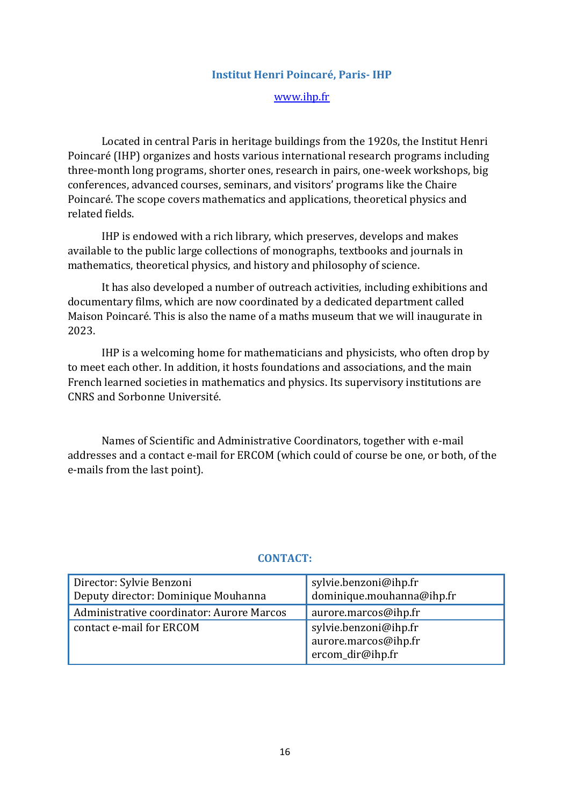#### **Institut Henri Poincaré, Paris- IHP**

[www.ihp.fr](http://www.ihp.fr/)

Located in central Paris in heritage buildings from the 1920s, the Institut Henri Poincaré (IHP) organizes and hosts various international research programs including three-month long programs, shorter ones, research in pairs, one-week workshops, big conferences, advanced courses, seminars, and visitors' programs like the Chaire Poincaré. The scope covers mathematics and applications, theoretical physics and related fields.

IHP is endowed with a rich library, which preserves, develops and makes available to the public large collections of monographs, textbooks and journals in mathematics, theoretical physics, and history and philosophy of science.

It has also developed a number of outreach activities, including exhibitions and documentary films, which are now coordinated by a dedicated department called Maison Poincaré. This is also the name of a maths museum that we will inaugurate in 2023.

IHP is a welcoming home for mathematicians and physicists, who often drop by to meet each other. In addition, it hosts foundations and associations, and the main French learned societies in mathematics and physics. Its supervisory institutions are CNRS and Sorbonne Université.

Names of Scientific and Administrative Coordinators, together with e-mail addresses and a contact e-mail for ERCOM (which could of course be one, or both, of the e-mails from the last point).

<span id="page-16-0"></span>

| Director: Sylvie Benzoni<br>Deputy director: Dominique Mouhanna | sylvie.benzoni@ihp.fr<br>dominique.mouhanna@ihp.fr                |
|-----------------------------------------------------------------|-------------------------------------------------------------------|
| Administrative coordinator: Aurore Marcos                       | aurore.marcos@ihp.fr                                              |
| contact e-mail for ERCOM                                        | sylvie.benzoni@ihp.fr<br>aurore.marcos@ihp.fr<br>ercom_dir@ihp.fr |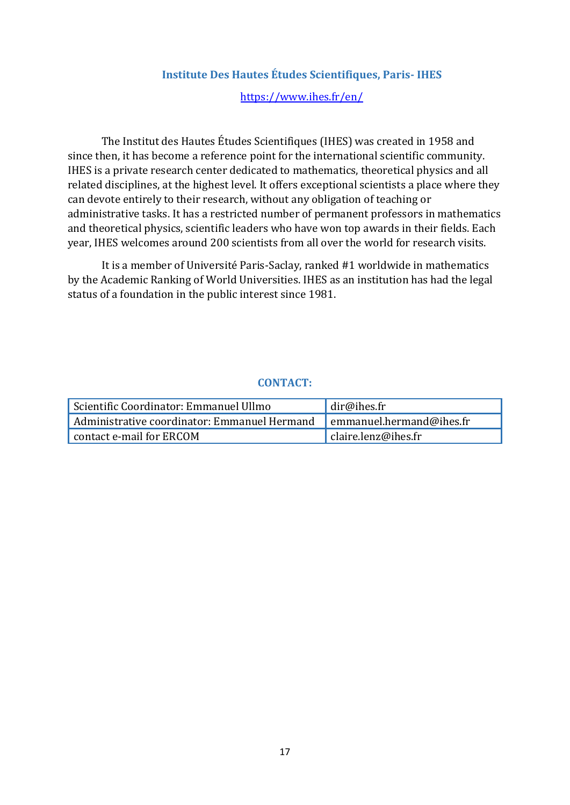### **Institute Des Hautes Études Scientifiques, Paris- IHES**

#### <https://www.ihes.fr/en/>

The Institut des Hautes Études Scientifiques (IHES) was created in 1958 and since then, it has become a reference point for the international scientific community. IHES is a private research center dedicated to mathematics, theoretical physics and all related disciplines, at the highest level. It offers exceptional scientists a place where they can devote entirely to their research, without any obligation of teaching or administrative tasks. It has a restricted number of permanent professors in mathematics and theoretical physics, scientific leaders who have won top awards in their fields. Each year, IHES welcomes around 200 scientists from all over the world for research visits.

It is a member of Université Paris-Saclay, ranked #1 worldwide in mathematics by the Academic Ranking of World Universities. IHES as an institution has had the legal status of a foundation in the public interest since 1981.

<span id="page-17-0"></span>

| ' Scientific Coordinator: Emmanuel Ullmo     | dir@ihes.fr                             |
|----------------------------------------------|-----------------------------------------|
| Administrative coordinator: Emmanuel Hermand | $\blacksquare$ emmanuel.hermand@ihes.fr |
| contact e-mail for ERCOM                     | claire.lenz@ihes.fr                     |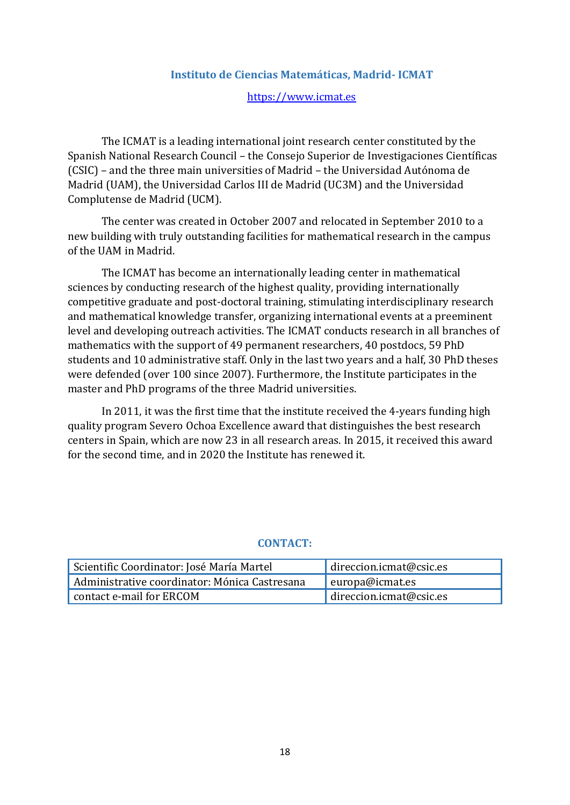#### **Instituto de Ciencias Matemáticas, Madrid- ICMAT**

#### [https://www.icmat.es](https://www.icmat.es/)

The ICMAT is a leading international joint research center constituted by the Spanish National Research Council – the Consejo Superior de Investigaciones Científicas (CSIC) – and the three main universities of Madrid – the Universidad Autónoma de Madrid (UAM), the Universidad Carlos III de Madrid (UC3M) and the Universidad Complutense de Madrid (UCM).

The center was created in October 2007 and relocated in September 2010 to a new building with truly outstanding facilities for mathematical research in the campus of the UAM in Madrid.

The ICMAT has become an internationally leading center in mathematical sciences by conducting research of the highest quality, providing internationally competitive graduate and post-doctoral training, stimulating interdisciplinary research and mathematical knowledge transfer, organizing international events at a preeminent level and developing outreach activities. The ICMAT conducts research in all branches of mathematics with the support of 49 permanent researchers, 40 postdocs, 59 PhD students and 10 administrative staff. Only in the last two years and a half, 30 PhD theses were defended (over 100 since 2007). Furthermore, the Institute participates in the master and PhD programs of the three Madrid universities.

In 2011, it was the first time that the institute received the 4-years funding high quality program Severo Ochoa Excellence award that distinguishes the best research centers in Spain, which are now 23 in all research areas. In 2015, it received this award for the second time, and in 2020 the Institute has renewed it.

| Scientific Coordinator: José María Martel     | direccion.icmat@csic.es |
|-----------------------------------------------|-------------------------|
| Administrative coordinator: Mónica Castresana | $\vert$ europa@icmat.es |
| contact e-mail for ERCOM                      | direccion.icmat@csic.es |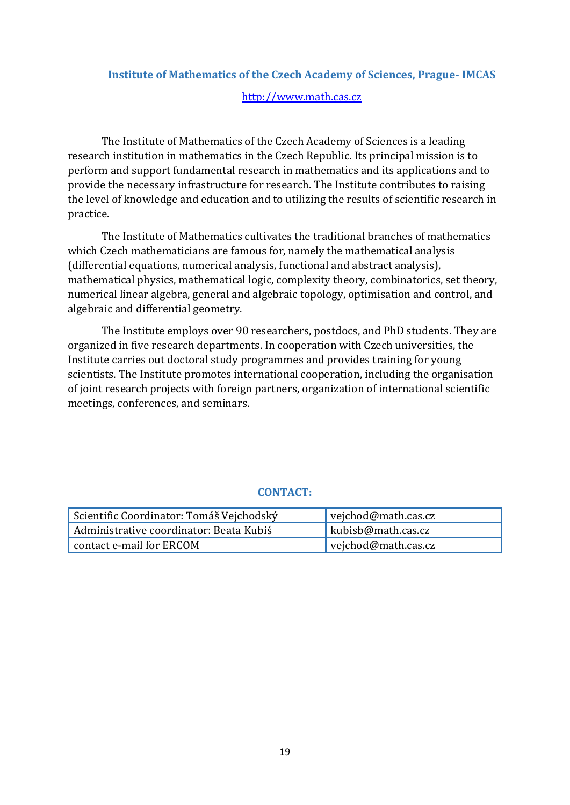# <span id="page-19-0"></span>**Institute of Mathematics of the Czech Academy of Sciences, Prague- IMCAS**

#### [http://www.math.cas.cz](http://www.math.cas.cz/)

The Institute of Mathematics of the Czech Academy of Sciences is a leading research institution in mathematics in the Czech Republic. Its principal mission is to perform and support fundamental research in mathematics and its applications and to provide the necessary infrastructure for research. The Institute contributes to raising the level of knowledge and education and to utilizing the results of scientific research in practice.

The Institute of Mathematics cultivates the traditional branches of mathematics which Czech mathematicians are famous for, namely the mathematical analysis (differential equations, numerical analysis, functional and abstract analysis), mathematical physics, mathematical logic, complexity theory, combinatorics, set theory, numerical linear algebra, general and algebraic topology, optimisation and control, and algebraic and differential geometry.

The Institute employs over 90 researchers, postdocs, and PhD students. They are organized in five research departments. In cooperation with Czech universities, the Institute carries out doctoral study programmes and provides training for young scientists. The Institute promotes international cooperation, including the organisation of joint research projects with foreign partners, organization of international scientific meetings, conferences, and seminars.

<span id="page-19-1"></span>

| Scientific Coordinator: Tomáš Vejchodský | vejchod@math.cas.cz   |
|------------------------------------------|-----------------------|
| Administrative coordinator: Beata Kubiś  | kubisb@math.cas.cz    |
| contact e-mail for ERCOM                 | vejchod@math.cas.cz ' |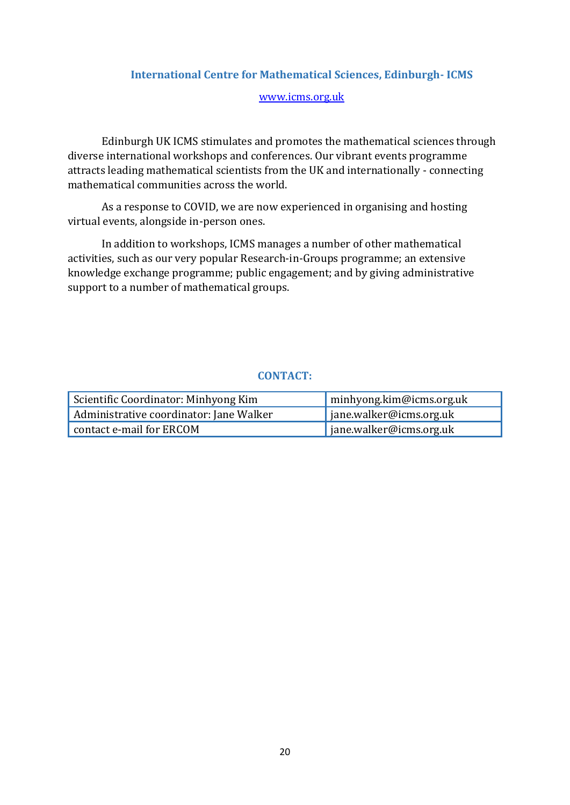# **International Centre for Mathematical Sciences, Edinburgh- ICMS**

#### [www.icms.org.uk](http://www.icms.org.uk/)

Edinburgh UK ICMS stimulates and promotes the mathematical sciences through diverse international workshops and conferences. Our vibrant events programme attracts leading mathematical scientists from the UK and internationally - connecting mathematical communities across the world.

As a response to COVID, we are now experienced in organising and hosting virtual events, alongside in-person ones.

In addition to workshops, ICMS manages a number of other mathematical activities, such as our very popular Research-in-Groups programme; an extensive knowledge exchange programme; public engagement; and by giving administrative support to a number of mathematical groups.

<span id="page-20-0"></span>

| Scientific Coordinator: Minhyong Kim    | minhyong.kim@icms.org.uk |
|-----------------------------------------|--------------------------|
| Administrative coordinator: Jane Walker | jane.walker@icms.org.uk  |
| contact e-mail for ERCOM                | jane.walker@icms.org.uk  |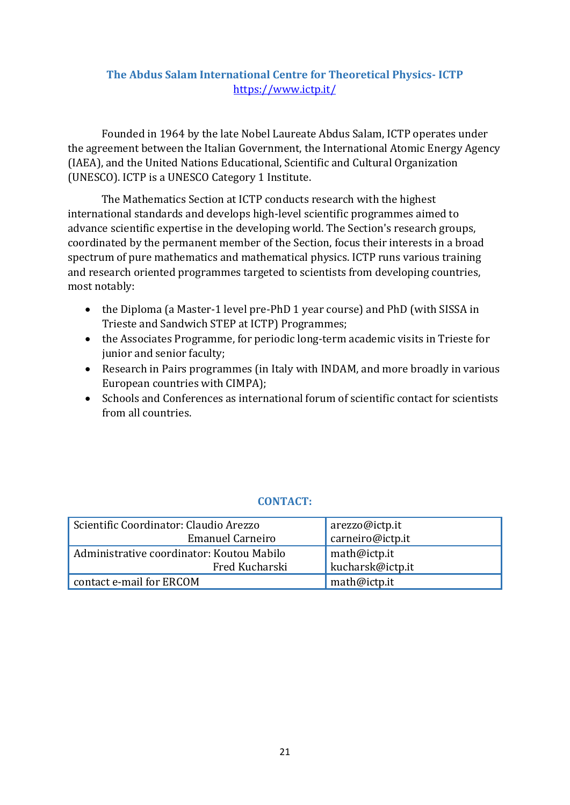# **The Abdus Salam International Centre for Theoretical Physics- ICTP** <https://www.ictp.it/>

Founded in 1964 by the late Nobel Laureate Abdus Salam, ICTP operates under the agreement between the Italian Government, the International Atomic Energy Agency (IAEA), and the United Nations Educational, Scientific and Cultural Organization (UNESCO). ICTP is a UNESCO Category 1 Institute.

The Mathematics Section at ICTP conducts research with the highest international standards and develops high-level scientific programmes aimed to advance scientific expertise in the developing world. The Section's research groups, coordinated by the permanent member of the Section, focus their interests in a broad spectrum of pure mathematics and mathematical physics. ICTP runs various training and research oriented programmes targeted to scientists from developing countries, most notably:

- the Diploma (a Master-1 level pre-PhD 1 year course) and PhD (with SISSA in Trieste and Sandwich STEP at ICTP) Programmes;
- the Associates Programme, for periodic long-term academic visits in Trieste for junior and senior faculty;
- Research in Pairs programmes (in Italy with INDAM, and more broadly in various European countries with CIMPA);
- Schools and Conferences as international forum of scientific contact for scientists from all countries.

<span id="page-21-0"></span>

| Scientific Coordinator: Claudio Arezzo    | arezzo@ictp.it                   |
|-------------------------------------------|----------------------------------|
| <b>Emanuel Carneiro</b>                   | carneiro@ictp.it                 |
| Administrative coordinator: Koutou Mabilo |                                  |
| Fred Kucharski                            | math@ictp.it<br>kucharsk@ictp.it |
| contact e-mail for ERCOM                  | math@ictp.it                     |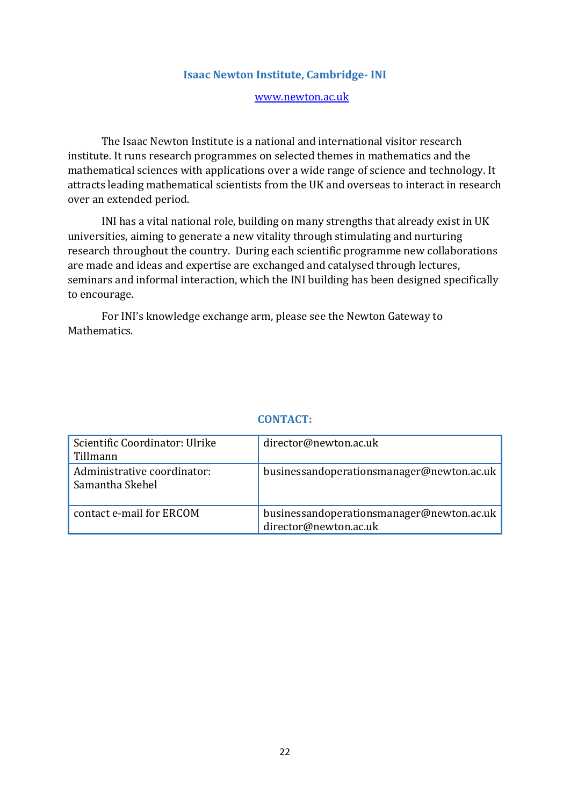#### **Isaac Newton Institute, Cambridge- INI**

#### [www.newton.ac.uk](http://www.newton.ac.uk/)

The Isaac Newton Institute is a national and international visitor research institute. It runs research programmes on selected themes in mathematics and the mathematical sciences with applications over a wide range of science and technology. It attracts leading mathematical scientists from the UK and overseas to interact in research over an extended period.

INI has a vital national role, building on many strengths that already exist in UK universities, aiming to generate a new vitality through stimulating and nurturing research throughout the country. During each scientific programme new collaborations are made and ideas and expertise are exchanged and catalysed through lectures, seminars and informal interaction, which the INI building has been designed specifically to encourage.

For INI's knowledge exchange arm, please see the Newton Gateway to Mathematics.

| Scientific Coordinator: Ulrike<br>Tillmann     | director@newton.ac.uk                                              |
|------------------------------------------------|--------------------------------------------------------------------|
| Administrative coordinator:<br>Samantha Skehel | businessandoperationsmanager@newton.ac.uk                          |
| contact e-mail for ERCOM                       | businessandoperationsmanager@newton.ac.uk<br>director@newton.ac.uk |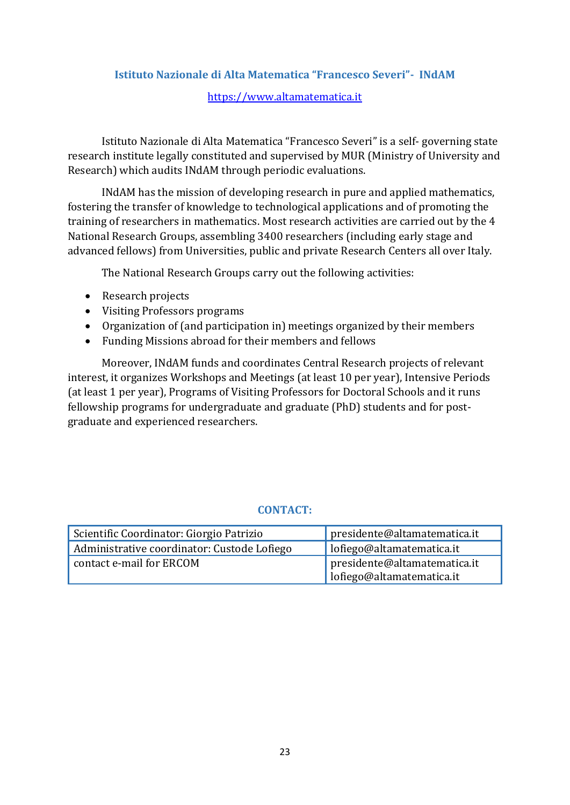# <span id="page-23-0"></span>**Istituto Nazionale di Alta Matematica "Francesco Severi"- INdAM**

# [https://www.altamatematica.it](https://www.altamatematica.it/)

Istituto Nazionale di Alta Matematica "Francesco Severi" is a self- governing state research institute legally constituted and supervised by MUR (Ministry of University and Research) which audits INdAM through periodic evaluations.

INdAM has the mission of developing research in pure and applied mathematics, fostering the transfer of knowledge to technological applications and of promoting the training of researchers in mathematics. Most research activities are carried out by the 4 National Research Groups, assembling 3400 researchers (including early stage and advanced fellows) from Universities, public and private Research Centers all over Italy.

The National Research Groups carry out the following activities:

- Research projects
- Visiting Professors programs
- Organization of (and participation in) meetings organized by their members
- Funding Missions abroad for their members and fellows

Moreover, INdAM funds and coordinates Central Research projects of relevant interest, it organizes Workshops and Meetings (at least 10 per year), Intensive Periods (at least 1 per year), Programs of Visiting Professors for Doctoral Schools and it runs fellowship programs for undergraduate and graduate (PhD) students and for postgraduate and experienced researchers.

| Scientific Coordinator: Giorgio Patrizio    | presidente@altamatematica.it |
|---------------------------------------------|------------------------------|
| Administrative coordinator: Custode Lofiego | lofiego@altamatematica.it    |
| contact e-mail for ERCOM                    | presidente@altamatematica.it |
|                                             | lofiego@altamatematica.it    |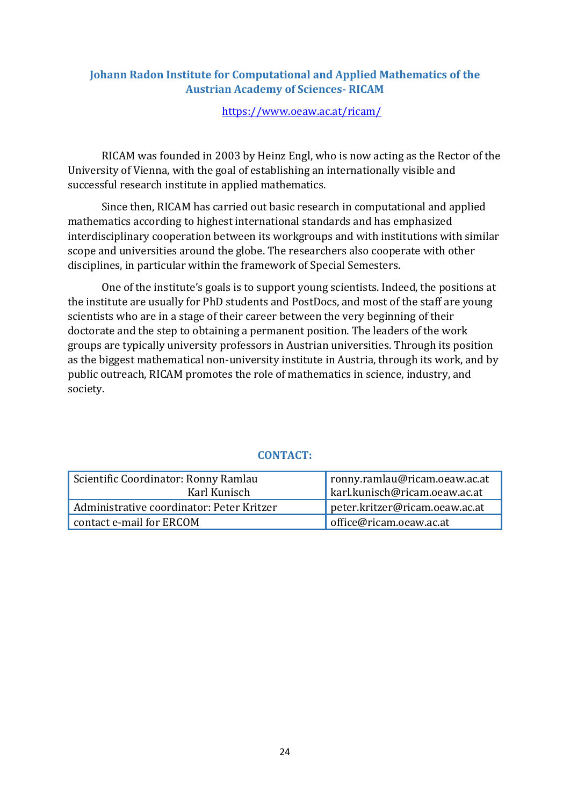# <span id="page-24-0"></span>**Johann Radon Institute for Computational and Applied Mathematics of the Austrian Academy of Sciences- RICAM**

<https://www.oeaw.ac.at/ricam/>

RICAM was founded in 2003 by Heinz Engl, who is now acting as the Rector of the University of Vienna, with the goal of establishing an internationally visible and successful research institute in applied mathematics.

Since then, RICAM has carried out basic research in computational and applied mathematics according to highest international standards and has emphasized interdisciplinary cooperation between its workgroups and with institutions with similar scope and universities around the globe. The researchers also cooperate with other disciplines, in particular within the framework of Special Semesters.

One of the institute's goals is to support young scientists. Indeed, the positions at the institute are usually for PhD students and PostDocs, and most of the staff are young scientists who are in a stage of their career between the very beginning of their doctorate and the step to obtaining a permanent position. The leaders of the work groups are typically university professors in Austrian universities. Through its position as the biggest mathematical non-university institute in Austria, through its work, and by public outreach, RICAM promotes the role of mathematics in science, industry, and society.

<span id="page-24-1"></span>

| Scientific Coordinator: Ronny Ramlau      | ronny.ramlau@ricam.oeaw.ac.at  |
|-------------------------------------------|--------------------------------|
| Karl Kunisch                              | karl.kunisch@ricam.oeaw.ac.at  |
| Administrative coordinator: Peter Kritzer | peter.kritzer@ricam.oeaw.ac.at |
| contact e-mail for ERCOM                  | office@ricam.oeaw.ac.at        |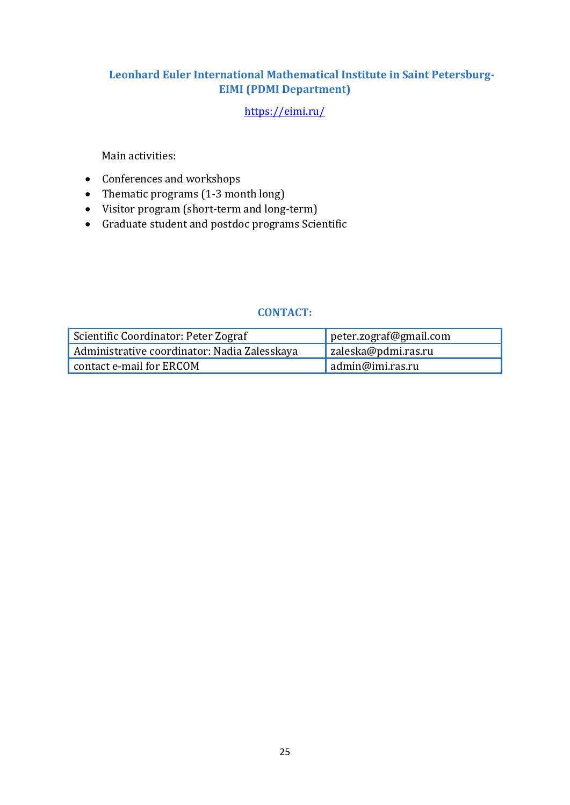# **Leonhard Euler International Mathematical Institute in Saint Petersburg-EIMI (PDMI Department)**

# <https://eimi.ru/>

Main activities:

- Conferences and workshops
- Thematic programs  $(1-3 \text{ month long})$
- Visitor program (short-term and long-term)
- Graduate student and postdoc programs Scientific

<span id="page-25-0"></span>

| Scientific Coordinator: Peter Zograf         | peter.zograf@gmail.com |
|----------------------------------------------|------------------------|
| Administrative coordinator: Nadia Zalesskaya | zaleska@pdmi.ras.ru    |
| contact e-mail for ERCOM                     | admin@imi.ras.ru       |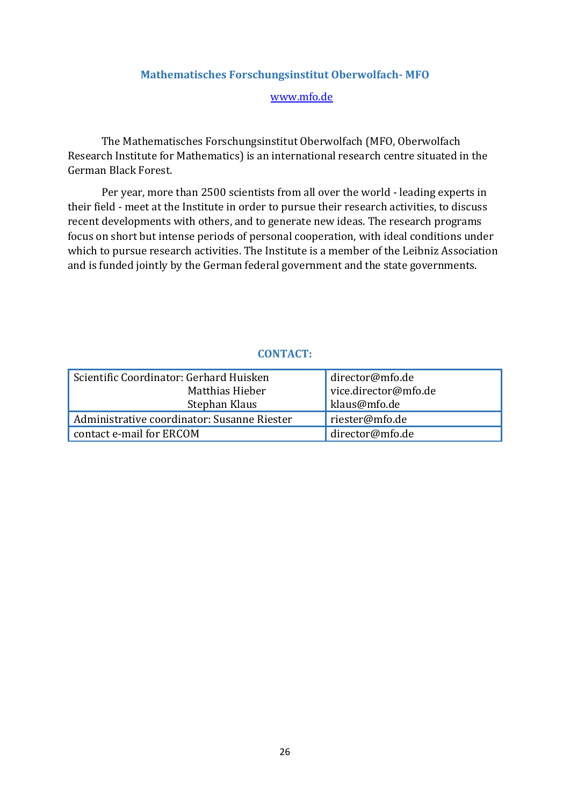### **Mathematisches Forschungsinstitut Oberwolfach- MFO**

#### [www.mfo.de](http://www.mfo.de/)

The Mathematisches Forschungsinstitut Oberwolfach (MFO, Oberwolfach Research Institute for Mathematics) is an international research centre situated in the German Black Forest.

Per year, more than 2500 scientists from all over the world - leading experts in their field - meet at the Institute in order to pursue their research activities, to discuss recent developments with others, and to generate new ideas. The research programs focus on short but intense periods of personal cooperation, with ideal conditions under which to pursue research activities. The Institute is a member of the Leibniz Association and is funded jointly by the German federal government and the state governments.

| Scientific Coordinator: Gerhard Huisken     | director@mfo.de      |
|---------------------------------------------|----------------------|
| Matthias Hieber                             | vice.director@mfo.de |
| Stephan Klaus                               | klaus@mfo.de         |
| Administrative coordinator: Susanne Riester | riester@mfo.de       |
| contact e-mail for ERCOM                    | director@mfo.de      |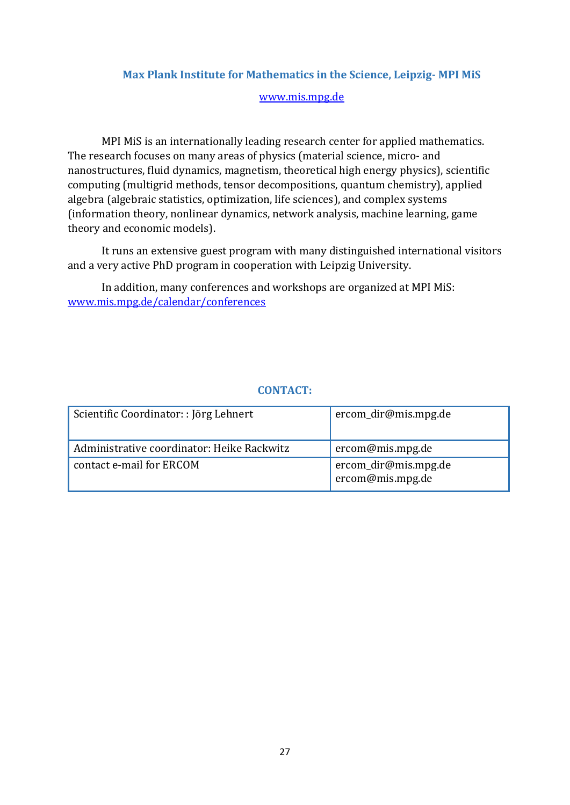# <span id="page-27-0"></span>**Max Plank Institute for Mathematics in the Science, Leipzig- MPI MiS**

#### [www.mis.mpg.de](http://www.mis.mpg.de/)

MPI MiS is an internationally leading research center for applied mathematics. The research focuses on many areas of physics (material science, micro- and nanostructures, fluid dynamics, magnetism, theoretical high energy physics), scientific computing (multigrid methods, tensor decompositions, quantum chemistry), applied algebra (algebraic statistics, optimization, life sciences), and complex systems (information theory, nonlinear dynamics, network analysis, machine learning, game theory and economic models).

It runs an extensive guest program with many distinguished international visitors and a very active PhD program in cooperation with Leipzig University.

In addition, many conferences and workshops are organized at MPI MiS: [www.mis.mpg.de/calendar/conferences](http://www.mis.mpg.de/calendar/conferences)

| Scientific Coordinator:: Jörg Lehnert      | ercom_dir@mis.mpg.de                     |
|--------------------------------------------|------------------------------------------|
| Administrative coordinator: Heike Rackwitz | ercom@mis.mpg.de                         |
| contact e-mail for ERCOM                   | ercom_dir@mis.mpg.de<br>ercom@mis.mpg.de |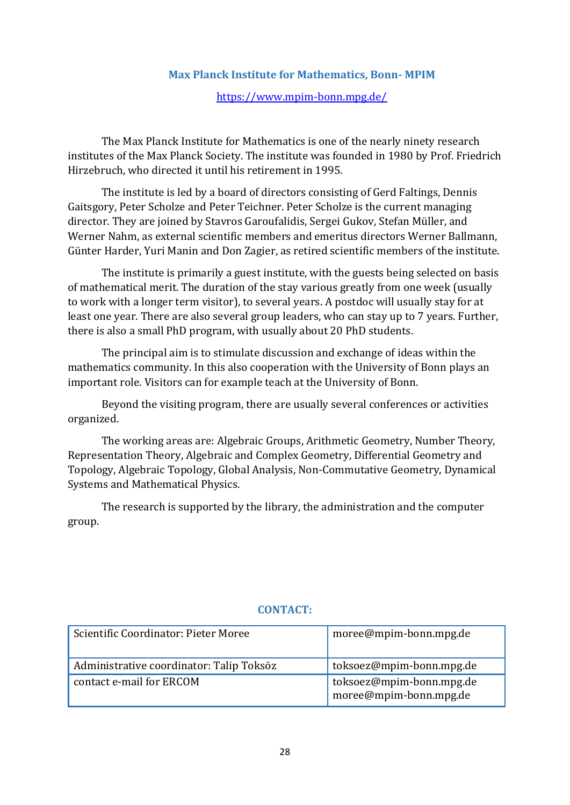# **Max Planck Institute for Mathematics, Bonn- MPIM**

<https://www.mpim-bonn.mpg.de/>

<span id="page-28-0"></span>The Max Planck Institute for Mathematics is one of the nearly ninety research institutes of the Max Planck Society. The institute was founded in 1980 by Prof. Friedrich Hirzebruch, who directed it until his retirement in 1995.

The institute is led by a board of directors consisting of Gerd Faltings, Dennis Gaitsgory, Peter Scholze and Peter Teichner. Peter Scholze is the current managing director. They are joined by Stavros Garoufalidis, Sergei Gukov, Stefan Müller, and Werner Nahm, as external scientific members and emeritus directors Werner Ballmann, Günter Harder, Yuri Manin and Don Zagier, as retired scientific members of the institute.

The institute is primarily a guest institute, with the guests being selected on basis of mathematical merit. The duration of the stay various greatly from one week (usually to work with a longer term visitor), to several years. A postdoc will usually stay for at least one year. There are also several group leaders, who can stay up to 7 years. Further, there is also a small PhD program, with usually about 20 PhD students.

The principal aim is to stimulate discussion and exchange of ideas within the mathematics community. In this also cooperation with the University of Bonn plays an important role. Visitors can for example teach at the University of Bonn.

Beyond the visiting program, there are usually several conferences or activities organized.

The working areas are: Algebraic Groups, Arithmetic Geometry, Number Theory, Representation Theory, Algebraic and Complex Geometry, Differential Geometry and Topology, Algebraic Topology, Global Analysis, Non-Commutative Geometry, Dynamical Systems and Mathematical Physics.

The research is supported by the library, the administration and the computer group.

<span id="page-28-1"></span>

| Scientific Coordinator: Pieter Moree     | moree@mpim-bonn.mpg.de                             |
|------------------------------------------|----------------------------------------------------|
| Administrative coordinator: Talip Toksöz | toksoez@mpim-bonn.mpg.de                           |
| contact e-mail for ERCOM                 | toksoez@mpim-bonn.mpg.de<br>moree@mpim-bonn.mpg.de |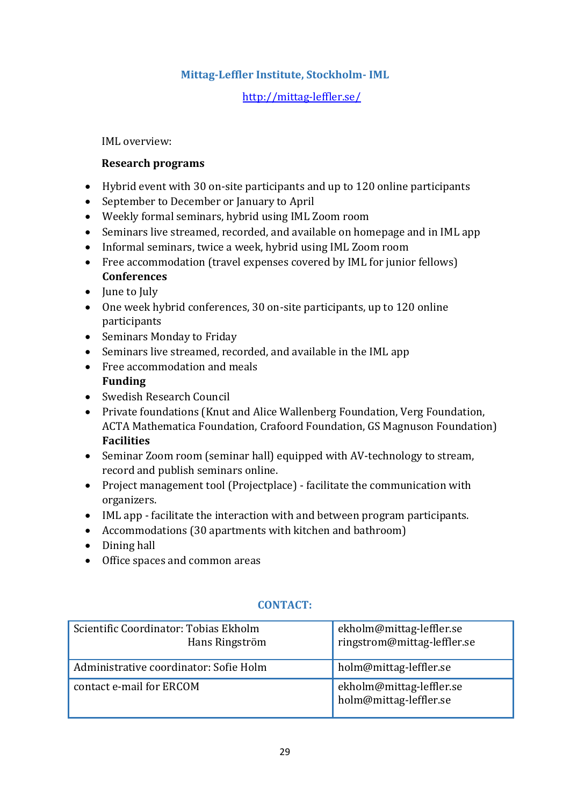# **Mittag-Leffler Institute, Stockholm- IML**

# <http://mittag-leffler.se/>

IML overview:

# **Research programs**

- Hybrid event with 30 on-site participants and up to 120 online participants
- September to December or January to April
- Weekly formal seminars, hybrid using IML Zoom room
- Seminars live streamed, recorded, and available on homepage and in IML app
- Informal seminars, twice a week, hybrid using IML Zoom room
- Free accommodation (travel expenses covered by IML for junior fellows) **Conferences**
- June to July
- One week hybrid conferences, 30 on-site participants, up to 120 online participants
- Seminars Monday to Friday
- Seminars live streamed, recorded, and available in the IML app
- Free accommodation and meals **Funding**
- Swedish Research Council
- Private foundations (Knut and Alice Wallenberg Foundation, Verg Foundation, ACTA Mathematica Foundation, Crafoord Foundation, GS Magnuson Foundation) **Facilities**
- Seminar Zoom room (seminar hall) equipped with AV-technology to stream, record and publish seminars online.
- Project management tool (Projectplace) facilitate the communication with organizers.
- IML app facilitate the interaction with and between program participants.
- Accommodations (30 apartments with kitchen and bathroom)
- Dining hall
- Office spaces and common areas

<span id="page-29-0"></span>

| Scientific Coordinator: Tobias Ekholm<br>Hans Ringström | ekholm@mittag-leffler.se<br>ringstrom@mittag-leffler.se |
|---------------------------------------------------------|---------------------------------------------------------|
| Administrative coordinator: Sofie Holm                  | holm@mittag-leffler.se                                  |
| contact e-mail for ERCOM                                | ekholm@mittag-leffler.se<br>holm@mittag-leffler.se      |